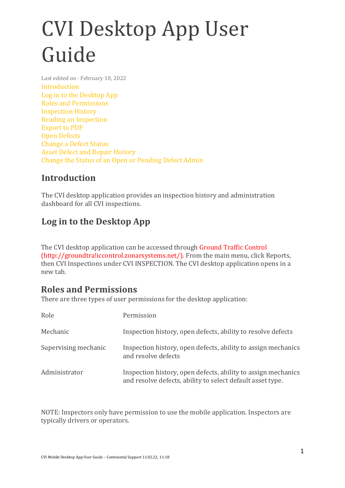# CVI Desktop App User Guide

Last edited on · February 10, 2022 Introduction Log in to the Desktop App Roles and Permissions Inspection History Reading an Inspection Export to PDF Open Defects Change a Defect Status Asset Defect and Repair History Change the Status of an Open or Pending Defect Admin

#### **Introduction**

The CVI desktop application provides an inspection history and administration dashboard for all CVI inspections.

## **Log in to the Desktop App**

The CVI desktop application can be accessed through Ground Traffic Control (http://groundtra!iccontrol.zonarsystems.net/). From the main menu, click Reports, then CVI Inspections under CVI INSPECTION. The CVI desktop application opens in a new tab.

#### **Roles and Permissions**

There are three types of user permissions for the desktop application:

| Role                 | Permission                                                                                                                  |
|----------------------|-----------------------------------------------------------------------------------------------------------------------------|
| Mechanic             | Inspection history, open defects, ability to resolve defects                                                                |
| Supervising mechanic | Inspection history, open defects, ability to assign mechanics<br>and resolve defects                                        |
| Administrator        | Inspection history, open defects, ability to assign mechanics<br>and resolve defects, ability to select default asset type. |

NOTE: Inspectors only have permission to use the mobile application. Inspectors are typically drivers or operators.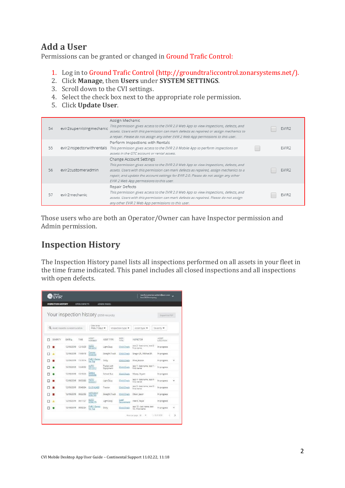#### **Add a User**

Permissions can be granted or changed in Ground Trafic Control:

- 1. Log in to Ground Trafic Control (http://groundtra!iccontrol.zonarsystems.net/).
- 2. Click **Manage**, then **Users** under **SYSTEM SETTINGS**.
- 3. Scroll down to the CVI settings.
- 4. Select the check box next to the appropriate role permission.
- 5. Click **Update User**.

| 54 | evir2supervisingmechanic | Assign Mechanic<br>This permission gives access to the EVIR 2.0 Web App to view inspections, defects, and<br>assets. Users with this permission can mark defects as repaired or assign mechanics to<br>a repair. Please do not assign any other EVIR 2 Web App permissions to this user.                                                        | EVIR <sub>2</sub> |
|----|--------------------------|-------------------------------------------------------------------------------------------------------------------------------------------------------------------------------------------------------------------------------------------------------------------------------------------------------------------------------------------------|-------------------|
| 55 |                          | Perform Inspections with Rentals<br>evir2inspectorwithrentals This permission gives access to the EVIR 2.0 Mobile App to perform inspections on<br>assets in the GTC account or rental assets.                                                                                                                                                  | EVIR <sub>2</sub> |
| 56 | evir2customeradmin       | Change Account Settings<br>This permission gives access to the EVIR 2.0 Web App to view inspections, defects, and<br>assets. Users with this permission can mark defects as repaired, assign mechanics to a<br>repair, and update the account settings for EVIR 2.0. Please do not assign any other<br>EVIR 2 Web App permissions to this user. | EVIR <sub>2</sub> |
| 57 | evir2mechanic            | Repair Defects<br>This permission gives access to the EVIR 2.0 Web App to view inspections, defects, and<br>assets. Users with this permission can mark defects as repaired. Please do not assign<br>any other EVIR 2 Web App permissions to this user.                                                                                         | EVIR <sub>2</sub> |

Those users who are both an Operator/Owner can have Inspector permission and Admin permission.

#### **Inspection History**

The Inspection History panel lists all inspections performed on all assets in your fleet in the time frame indicated. This panel includes all closed inspections and all inspections with open defects.

| <b>EONAR</b><br><b>NEVIR</b>           |            |                     |                           |                          |                             | test&costomer-admin@edit.com<br>box2023company   | w                           |
|----------------------------------------|------------|---------------------|---------------------------|--------------------------|-----------------------------|--------------------------------------------------|-----------------------------|
| <b>INSPECTION HISTORY</b>              |            | <b>OPEN DEFECTS</b> |                           | <b>ADMIN PANEL</b>       |                             |                                                  |                             |
| Your inspection history (2058 records) |            |                     |                           |                          |                             |                                                  | Export to PDT               |
| Q. Asset inspector, or Asset Location  |            |                     | Date range<br>Prev 7 days |                          | inspection type             | Asset type                                       | Saventy -                   |
| SEVERITY<br>□                          | DATE +     | TIME                | ASSET-<br>NUMBER          | <b>ASSET TYPE</b>        | INSP.<br>TYDE               | INSPECTOR                                        | <b>ASSET</b><br>LOCATION    |
| п                                      | 12/19/2019 | 1219:29             | AUTO<br>5512812           | Light Duty               | <b>Chrid Check</b>          | test 2 - lest name, test 2 -<br>first name       | In progress                 |
| п<br>٨                                 | 12/19/2019 | 11:49:19            | Conner<br>9058692         | Straight Truck           | <b>Child Check</b>          | Gregor (R., Michael JR.                          | In progress                 |
| ⊓                                      | 12/19/2019 | 11:19:14            | EVR 2 Dema<br>No Tec      | Dolly                    | <b>Chrid Check</b>          | Wise, Jessica                                    | ×<br>In progress            |
| п                                      | 12/19/2019 | 10:48:52            | AUTO<br>8512012           | Trader with<br>Equipment | Child Check                 | test 1 - last name, sest 1 -<br><b>Erst</b> name | In progress                 |
|                                        | 12/19/2019 | 10:18:23            | Geerur<br>scossee         | School Bus               | <b>Child Check</b>          | Makey, Bryant                                    | In progress                 |
| п                                      | 12/19/2019 | 09:53:00            | AUTO<br>8553017           | Light Duty               | <b>Child Check</b>          | test 4 - last name, test 4 -<br>floor insures    | ۷<br>In progress            |
| Π                                      | 12/19/2019 | 09548-04            | EIL 8142489               | Tractor                  | <b>Child Check</b>          | test 5 - lest name, test 5 -<br>Forest Harrise   | In progress                 |
| n                                      | 12/19/2019 | 09/22/53            | ANTHONY<br>0084783        | Straight Truck           | Child Check                 | Olson, Jason                                     | In progress                 |
| п                                      | 12/19/2019 | DD:17:27            | ALITO<br>8056279          | Light Duty               | <b>Listed</b><br>Securement | Heard, Kayla                                     | In progress                 |
|                                        | 12/19/2019 | 08/52/24            | EVIR 2 Dema<br>No Tair    | Dolly                    | Child Check                 | cest 10 - last name, test<br>10 - first name     | In progress<br>$\checkmark$ |
|                                        |            |                     |                           |                          |                             | Poses per super 10 -                             | $1 + 10$ of 2050<br>5       |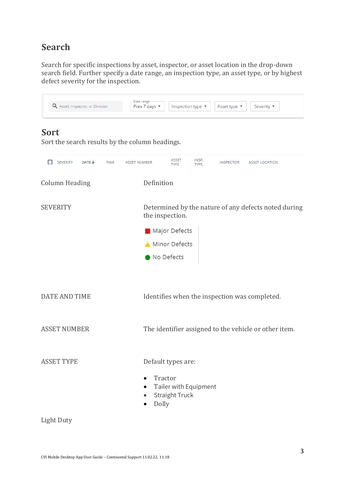#### **Search**

Search for specific inspections by asset, inspector, or asset location in the drop-down search field. Further specify a date range, an inspection type, an asset type, or by highest defect severity for the inspection.

| Q Asset, Inspector, or Division                                | Date range<br>Prev 7 days ▼        |                             | Inspection type ▼    | Asset type ▼     | Severity ▼                                           |
|----------------------------------------------------------------|------------------------------------|-----------------------------|----------------------|------------------|------------------------------------------------------|
| <b>Sort</b><br>Sort the search results by the column headings. |                                    |                             |                      |                  |                                                      |
| <b>SEVERITY</b><br>$DATE +$                                    | <b>TIME</b><br><b>ASSET NUMBER</b> | <b>ASSET</b><br><b>TYPE</b> | INSP.<br><b>TYPE</b> | <b>INSPECTOR</b> | <b>ASSET LOCATION</b>                                |
| <b>Column Heading</b>                                          | Definition                         |                             |                      |                  |                                                      |
| <b>SEVERITY</b>                                                |                                    | the inspection.             |                      |                  | Determined by the nature of any defects noted during |
|                                                                |                                    | Major Defects               |                      |                  |                                                      |
|                                                                |                                    | Minor Defects               |                      |                  |                                                      |
|                                                                |                                    | No Defects                  |                      |                  |                                                      |

DATE AND TIME Identifies when the inspection was completed.

ASSET NUMBER The identifier assigned to the vehicle or other item.

ASSET TYPE Default types are:

- Tractor
- Tailer with Equipment
- Straight Truck
- Dolly

Light Duty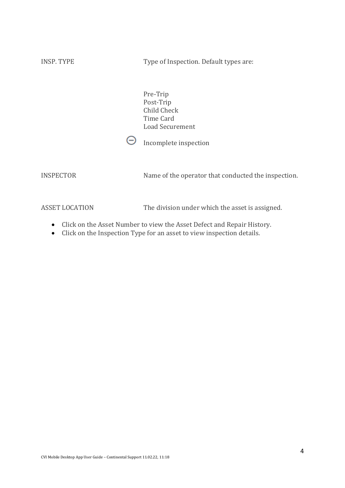| <b>INSP. TYPE</b>     | Type of Inspection. Default types are:                   |
|-----------------------|----------------------------------------------------------|
|                       | Pre-Trip<br>Post-Trip<br><b>Child Check</b><br>Time Card |
|                       | <b>Load Securement</b><br>Incomplete inspection          |
|                       |                                                          |
| <b>INSPECTOR</b>      | Name of the operator that conducted the inspection.      |
| <b>ASSET LOCATION</b> | The division under which the asset is assigned.          |

- Click on the Asset Number to view the Asset Defect and Repair History.
- Click on the Inspection Type for an asset to view inspection details.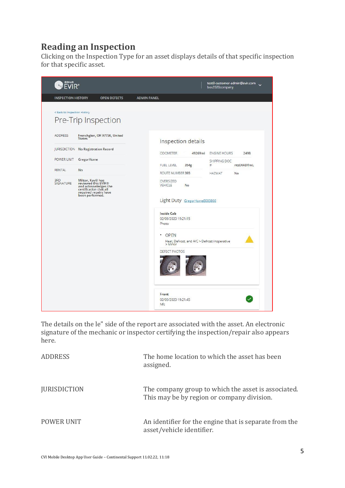## **Reading an Inspection**

Clicking on the Inspection Type for an asset displays details of that specific inspection for that specific asset.



The details on the le" side of the report are associated with the asset. An electronic signature of the mechanic or inspector certifying the inspection/repair also appears here.

| ADDRESS             | The home location to which the asset has been<br>assigned.                                        |
|---------------------|---------------------------------------------------------------------------------------------------|
| <b>JURISDICTION</b> | The company group to which the asset is associated.<br>This may be by region or company division. |
| <b>POWER UNIT</b>   | An identifier for the engine that is separate from the<br>asset/vehicle identifier.               |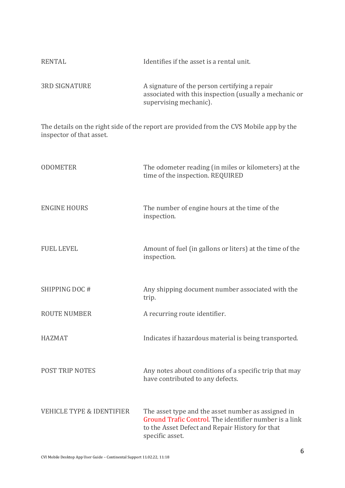| RENTAL               | Identifies if the asset is a rental unit.                                                                                         |
|----------------------|-----------------------------------------------------------------------------------------------------------------------------------|
| <b>3RD SIGNATURE</b> | A signature of the person certifying a repair<br>associated with this inspection (usually a mechanic or<br>supervising mechanic). |

The details on the right side of the report are provided from the CVS Mobile app by the inspector of that asset.

| <b>ODOMETER</b>                      | The odometer reading (in miles or kilometers) at the<br>time of the inspection. REQUIRED                                                                                           |
|--------------------------------------|------------------------------------------------------------------------------------------------------------------------------------------------------------------------------------|
| <b>ENGINE HOURS</b>                  | The number of engine hours at the time of the<br>inspection.                                                                                                                       |
| <b>FUEL LEVEL</b>                    | Amount of fuel (in gallons or liters) at the time of the<br>inspection.                                                                                                            |
| SHIPPING DOC#                        | Any shipping document number associated with the<br>trip.                                                                                                                          |
| <b>ROUTE NUMBER</b>                  | A recurring route identifier.                                                                                                                                                      |
| <b>HAZMAT</b>                        | Indicates if hazardous material is being transported.                                                                                                                              |
| POST TRIP NOTES                      | Any notes about conditions of a specific trip that may<br>have contributed to any defects.                                                                                         |
| <b>VEHICLE TYPE &amp; IDENTIFIER</b> | The asset type and the asset number as assigned in<br>Ground Trafic Control. The identifier number is a link<br>to the Asset Defect and Repair History for that<br>specific asset. |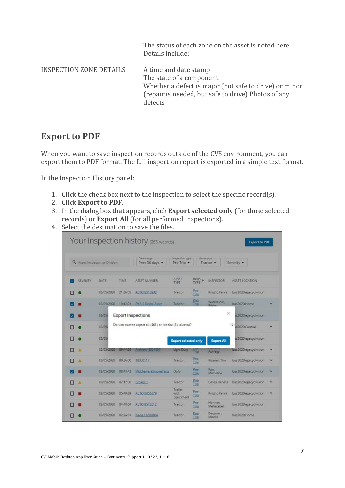The status of each zone on the asset is noted here. Details include:

INSPECTION ZONE DETAILS A time and date stamp

The state of a component Whether a defect is major (not safe to drive) or minor (repair is needed, but safe to drive) Photos of any defects

#### **Export to PDF**

When you want to save inspection records outside of the CVS environment, you can export them to PDF format. The full inspection report is exported in a simple text format.

In the Inspection History panel:

- 1. Click the check box next to the inspection to select the specific record(s).
- 2. Click **Export to PDF**.
- 3. In the dialog box that appears, click **Export selected only** (for those selected records) or **Export All** (for all performed inspections).
- 4. Select the destination to save the files.

|          |                                 | Your inspection history (263 records)                     |                                      |                      |                      | <b>Export to PDF</b>  |              |
|----------|---------------------------------|-----------------------------------------------------------|--------------------------------------|----------------------|----------------------|-----------------------|--------------|
|          | Q. Assec Inspector, or Division | Date range<br>Prev 30 days -                              | <b>Inspection type</b><br>Pre-Trip - | Аххес сури           | Tractor -            | Severity -            |              |
| SEVERITY | TIME<br>DATE                    | ASSET NUMBER                                              | <b>ASSET</b><br><b>TYPE</b>          | INSP.<br><b>TYPE</b> | INSPECTOR            | ASSET LOCATION        |              |
|          | 02/05/2020<br>21:36:05          | AUTO 8513932                                              | Tractor                              | Pre<br>Trip          | Knight, Fanni        | bos2020legacydivision |              |
|          | 02/05/2020<br>19:12-01          | <b>EVIR 2 Demo Asset</b>                                  | Tractor                              | $\frac{Pro}{Irra}$   | Wahlstrom.<br>Eddie  | bos2020:Hame          |              |
|          | 02/05                           | <b>Export Inspections</b>                                 |                                      |                      | ×                    | s2020legacydivision   |              |
|          | 02/05                           | Do you want to export all (263) or just the (3) selected? |                                      |                      |                      | -9<br>s2020:Central   | v            |
|          | 02/05                           |                                                           | <b>Export selected only</b>          |                      | <b>Export All</b>    | 152020legacydivision  |              |
|          | 02/05/2020<br>09:44:56          | Anti-Strip Locality                                       | <b>Light Duty</b>                    | Trio                 | Ashleigh             | bos2020legacydivision | ×            |
|          | 02/05/2020<br>09:36:00          | 18000117                                                  | Tractor                              | Pre-<br>Trip         | Kissner, Tim         | bos2020legacydivision | v            |
|          | 02/05/2020<br>08:43:42          | MiddlewareSmokeTests                                      | Dolly                                | Press<br>Trig        | Furr,<br>Michelina   | bos2020legacydivision | ×            |
| л        | 02/05/2020<br>07:12:00          | Gregor 1                                                  | Tractor                              | <b>Pres</b>          | Gates, Renata        | bos2020legacydivision | $\checkmark$ |
|          | 05:49:29<br>02/05/2020          | AUTO 8056279                                              | Trailer<br>with<br>Equipment         | Pre-<br>Trip         | Knight, Fanni        | bos2020legacydivision | ×            |
|          | 02/05/2020<br>04:48:04          | AUTO 8512012                                              | Tractor                              | Pre-<br>Trip         | Hannan,<br>Mehetabel | bos2020legacydivision |              |
|          | 02/05/2020<br>02:24:01          | Kayla 11600164                                            | Tractor                              | Pre<br>Trio          | Bergman,<br>Mirelle  | bos2020:Home          |              |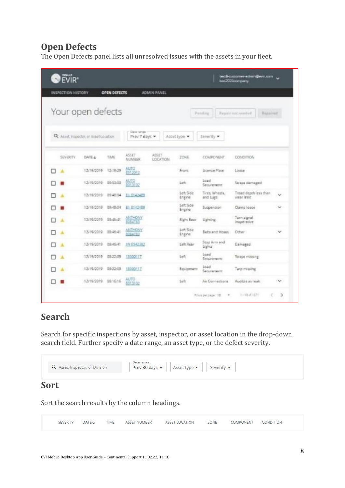#### **Open Defects**

The Open Defects panel lists all unresolved issues with the assets in your fleet.

| <b>OFVIR</b> * |                                        |              |                             |                          |                     |                                   | testB-customer-edmin@evir.com<br>hex2020ccmpany |               |
|----------------|----------------------------------------|--------------|-----------------------------|--------------------------|---------------------|-----------------------------------|-------------------------------------------------|---------------|
|                | INSPECTION HISTORY                     | OPEN DEFECTS |                             | <b>ADMIN PANEL</b>       |                     |                                   |                                                 |               |
|                | Your open defects                      |              |                             |                          |                     | Panding                           | Repair not received.<br>Repaired                |               |
|                | Q. Asset Inspector, or Asset Location. |              | Date range<br>Prev 7 days = |                          | Assettype           | Severity -                        |                                                 |               |
|                | SEVERITY<br>DATE &                     | TIME         | <b>ASSET</b><br>NUMBER      | ASSET<br><b>LOCATION</b> | <b>ZONE</b>         | COMPONENT                         | CONDITION                                       |               |
| □              | 12/19/2019                             | 12-10-29     | alito<br>8512012            |                          | Front:              | License Plate                     | Looke                                           |               |
|                | 12/19/2019                             | 09-53-00     | ALITO<br>0013102            |                          | Left                | Load<br>Securement.               | Straps damaged                                  |               |
| п              | 12/19/2019                             | 09-48-04     | EE E142489                  |                          | Leh Side<br>Engine  | Tires, Wheels.<br>and Lugs        | Tread depth less than<br>wear limit.            | $\sim$        |
|                | 12/19/2019                             | 09:48:04     | EE 0143489                  |                          | Left Side<br>Engine | Supportsion                       | Clamp loose                                     | w             |
| п<br>٨         | 12/19/2019                             | 08:46:41     | <b>ANTHONY</b><br>0064783   |                          | <b>Right Rear</b>   | Lighting                          | Turn signal<br>inoperative                      |               |
| п<br>٨         | 12/19/2019                             | 08:46:41     | ANTHONY<br>1084783          |                          | Left Side<br>Engine | <b>Belts and Hoses</b>            | Other                                           | w             |
| п<br>٨         | 12/19/2019                             | 08:45:41     | IIN 8542382                 |                          | Left Raw            | Stop Arm and<br>Lights            | Damaged                                         |               |
| A<br>п         | 12/19/2019                             | 08:22:09     | 18000117                    |                          | Left                | Load<br>Securement                | Straps missing                                  |               |
| ۸<br>o         | 12/19/2019                             | 08-22-09     | 18000117                    |                          | Equipment           | Load<br>Securement                | Terp missing                                    |               |
|                | 12/19/2019                             | 08:16:16     | AUTO<br>BO13102             |                          | $1 - h$             | Air Connections                   | Audible air brak.                               | ×             |
|                |                                        |              |                             |                          |                     | Поли расшара 198<br>$\frac{1}{2}$ | $1 - 3240^{\circ} 1672$<br>c                    | $\mathcal{I}$ |

#### **Search**

Search for specific inspections by asset, inspector, or asset location in the drop-down search field. Further specify a date range, an asset type, or the defect severity.

| Q Asset, Inspector, or Division | $\sim$ Date range $\sim$<br>Prev 30 days | Asset type <b>v</b> |  |
|---------------------------------|------------------------------------------|---------------------|--|
|                                 |                                          |                     |  |

#### **Sort**

Sort the search results by the column headings.

| ZONE<br>SEVERITY<br>TIME<br>COMPONENT<br>CONDITION<br><b>ASSET NUMBER</b><br>DATE J<br><b>ASSET LOCATION</b> |  |
|--------------------------------------------------------------------------------------------------------------|--|
|--------------------------------------------------------------------------------------------------------------|--|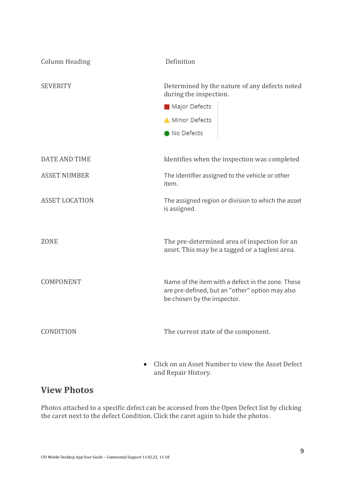| <b>Column Heading</b> | Definition                                                                                                                          |
|-----------------------|-------------------------------------------------------------------------------------------------------------------------------------|
| <b>SEVERITY</b>       | Determined by the nature of any defects noted<br>during the inspection.                                                             |
|                       | Major Defects                                                                                                                       |
|                       | Minor Defects                                                                                                                       |
|                       | No Defects                                                                                                                          |
|                       |                                                                                                                                     |
| <b>DATE AND TIME</b>  | Identifies when the inspection was completed                                                                                        |
| <b>ASSET NUMBER</b>   | The identifier assigned to the vehicle or other<br>item.                                                                            |
| <b>ASSET LOCATION</b> | The assigned region or division to which the asset<br>is assigned.                                                                  |
|                       |                                                                                                                                     |
| <b>ZONE</b>           | The pre-determined area of inspection for an<br>asset. This may be a tagged or a tagless area.                                      |
|                       |                                                                                                                                     |
| COMPONENT             | Name of the item with a defect in the zone. These<br>are pre-defined, but an "other" option may also<br>be chosen by the inspector. |
|                       |                                                                                                                                     |
| CONDITION             | The current state of the component.                                                                                                 |
|                       |                                                                                                                                     |
|                       |                                                                                                                                     |

• Click on an Asset Number to view the Asset Defect and Repair History.

#### **View Photos**

Photos attached to a specific defect can be accessed from the Open Defect list by clicking the caret next to the defect Condition. Click the caret again to hide the photos.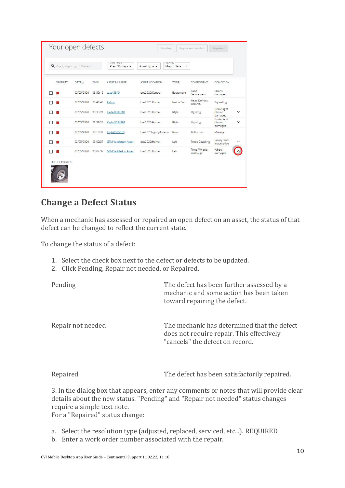| Your open defects               |            |             |                              | Pending                                     |              | Repair not needed          | Repaired                                |              |
|---------------------------------|------------|-------------|------------------------------|---------------------------------------------|--------------|----------------------------|-----------------------------------------|--------------|
| Q Asset, Inspector, or Division |            |             | Date range<br>Prev 30 days v | Severity<br>Asset type $\blacktriangledown$ | Major Defe v |                            |                                         |              |
| SEVERITY                        | DATE +     | <b>TIME</b> | <b>ASSET NUMBER</b>          | <b>ASSET LOCATION</b>                       | ZONE         | COMPONENT                  | CONDITION                               |              |
| п                               | 02/05/2020 | 03:55:15    | zzzz45345                    | bos2020:Central                             | Equipment    | load<br>Securement         | Straps<br>damaged                       |              |
| □                               | 02/05/2020 | 03:48:43    | Pickup                       | bos2020:Home                                | Inside Cab   | Heat. Defrost.<br>and A/C  | Squealing                               |              |
| ⊓                               | 02/05/2020 | 03:33:24    | Kayla 8084798                | bos2020:Home                                | Right        | Lighting                   | <b>Brake light</b><br>dim or<br>damaged | $\checkmark$ |
|                                 | 02/05/2020 | 03:33:24    | Kayla 8084798                | bos2020:Home                                | Right        | Lighting                   | <b>Brake light</b><br>dim or<br>damaged | $\checkmark$ |
| п                               | 02/05/2020 | 03:10:32    | Kayla8595610                 | bos2020legacydivision                       | Rear         | Reflectors                 | Missing                                 |              |
| n                               | 02/05/2020 | 03:02:37    | <b>GTM Validation Asset</b>  | bos2020:Home                                | Left         | <b>Pintle Coupling</b>     | Safety latch<br>inoperative             | $\check{ }$  |
|                                 | 02/05/2020 | 03:02:37    | <b>GTM Validation Asset</b>  | bos2020:Home                                | Left         | Tires, Wheels,<br>and Lugs | Wheel<br>damaged                        |              |
| DEFECT PHOTOS                   |            |             |                              |                                             |              |                            |                                         |              |

#### **Change a Defect Status**

When a mechanic has assessed or repaired an open defect on an asset, the status of that defect can be changed to reflect the current state.

To change the status of a defect:

- 1. Select the check box next to the defect or defects to be updated.
- 2. Click Pending, Repair not needed, or Repaired.

| Pending           | The defect has been further assessed by a<br>mechanic and some action has been taken<br>toward repairing the defect.        |
|-------------------|-----------------------------------------------------------------------------------------------------------------------------|
| Repair not needed | The mechanic has determined that the defect<br>does not require repair. This effectively<br>"cancels" the defect on record. |

Repaired The defect has been satisfactorily repaired.

3. In the dialog box that appears, enter any comments or notes that will provide clear details about the new status. "Pending" and "Repair not needed" status changes require a simple text note.

For a "Repaired" status change:

- a. Select the resolution type (adjusted, replaced, serviced, etc...). REQUIRED
- b. Enter a work order number associated with the repair.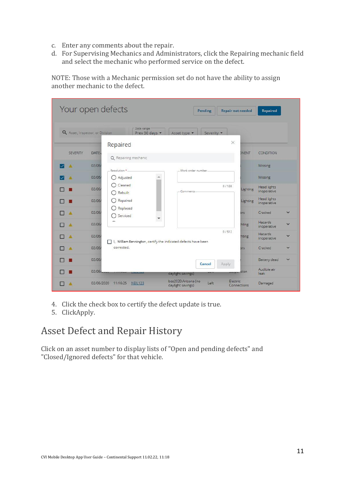- c. Enter any comments about the repair.
- d. For Supervising Mechanics and Administrators, click the Repairing mechanic field and select the mechanic who performed service on the defect.

NOTE: Those with a Mechanic permission set do not have the ability to assign another mechanic to the defect.

|                                 | Your open defects              |                                                                | Pending                                          | <b>Repair not needed</b> |              | <b>Repaired</b>                   |              |
|---------------------------------|--------------------------------|----------------------------------------------------------------|--------------------------------------------------|--------------------------|--------------|-----------------------------------|--------------|
| Q Asset, Inspector, or Division | Repaired                       | Date range<br>Prev 30 days                                     | Asset type •<br>Severity •                       | $\times$                 |              |                                   |              |
| <b>SEVERITY</b>                 | DATE:<br>Q Repairing mechanic  |                                                                |                                                  |                          | <b>DNENT</b> | <b>CONDITION</b>                  |              |
| л                               | 02/06/<br>Resolution *_        |                                                                | Work order number                                |                          |              | Missing                           |              |
|                                 | 02/06/<br>Adjusted             |                                                                |                                                  |                          |              | Missing                           |              |
|                                 | Cleaned<br>02/06/<br>Rebuilt   |                                                                | Comments                                         | 0/128                    | Lighting     | <b>Head lights</b><br>inoperative |              |
|                                 | 02/06/<br>Repaired             |                                                                |                                                  |                          | Lighting     | <b>Head lights</b><br>inoperative |              |
| ٨                               | Replaced<br>02/06/<br>Serviced |                                                                |                                                  |                          | brs          | Cracked                           | $\checkmark$ |
|                                 | 02/06/                         |                                                                |                                                  |                          | hting        | <b>Hazards</b><br>inoperative     | $\checkmark$ |
|                                 | 02/06/                         | I, William Bennington, certify the indicated defects have been |                                                  | 0/512                    | hting        | <b>Hazards</b><br>inoperative     | $\checkmark$ |
|                                 | corrected.<br>02/06/           |                                                                |                                                  |                          | $rac{1}{2}$  | Cracked                           | $\checkmark$ |
|                                 | 02/06/                         |                                                                | Cancel                                           | Apply                    |              | Battery dead                      | $\checkmark$ |
|                                 | 02/06/                         |                                                                | daylight savings)                                |                          | <i>ision</i> | Audible air<br>leak               |              |
|                                 | 02/06/2020<br>11:16:25         | <b>NEIL123</b>                                                 | bos2020:Arizona (no<br>Left<br>daylight savings) | Electric                 | Connections  | Damaged                           |              |

- 4. Click the check box to certify the defect update is true.
- 5. ClickApply.

# Asset Defect and Repair History

Click on an asset number to display lists of "Open and pending defects" and "Closed/Ignored defects" for that vehicle.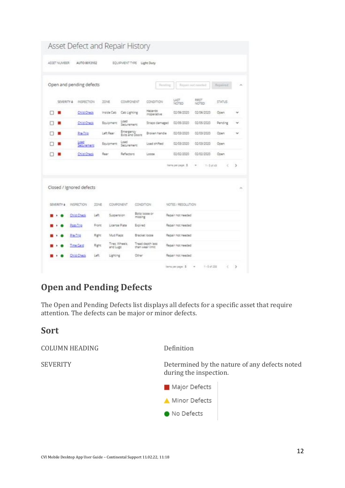| ASSET NUMBER | AUTO 8013102             |       |                            | EQUIPMENT TYPE     |                  | Light Duty                           |                    |                       |               |        |
|--------------|--------------------------|-------|----------------------------|--------------------|------------------|--------------------------------------|--------------------|-----------------------|---------------|--------|
|              |                          |       |                            |                    |                  |                                      |                    |                       |               |        |
|              | Open and pending defects |       |                            |                    |                  | <b>Send</b>                          |                    | Repair not meeted     | Nepalred      | $\sim$ |
| SEVERITY 4   | INSPECTION               |       | ZONE                       | COMPONENT          |                  | CONDITION                            | LAST<br>NOTED      | <b>FIRST</b><br>NOTED | <b>STATUS</b> |        |
| □            | <b>Child Check</b>       |       | Inside Cab                 | Cab Lighting       |                  | Hasards<br>inoperative               | 02/06/2020         | 02/06/2020            | Open          | ÷      |
| п<br>u       | <b>Child Check</b>       |       | Equipment                  | Load<br>Securement |                  | Straps damaged                       | 02/05/2020         | 02/05/2020            | Pending       | v      |
|              | Pre-Trip                 |       | Left Rear                  | Emergency          | Exits and Doors  | <b>Biolan handle</b>                 | 02/03/2020         | 02/03/2020            | Open          | $\sim$ |
| п            | Load<br>Securement       |       | Equipment                  | Load<br>Securement |                  | Load shifted                         | 02/03/2020         | 02/03/2020            | <b>Open</b>   |        |
| □            | <b>Child Check</b>       |       | Rear                       | Reflectors         |                  | Locpe                                | 02/02/2020         | 02/02/2020            | Doen          |        |
|              |                          |       |                            |                    |                  |                                      |                    |                       |               |        |
|              |                          |       |                            |                    |                  |                                      | hems per page: 5   | 1-1448<br>٠           | ë             | э.     |
|              | Closed / Ignored defects |       |                            |                    |                  |                                      |                    |                       |               |        |
|              | INSPECTION               | 2014E | COMPONENT                  |                    | <b>CONDITION</b> |                                      | NOTES / RESOLUTION |                       |               |        |
|              | Child Check              | Left  | Suspension                 |                    | missing          | Boltz loose or                       | Repair not needed  |                       |               | ×      |
|              | Post-Trip                | Frant | License Plate              |                    | Expired          |                                      | Regain not needed  |                       |               |        |
|              | Pre-Trip                 | Right | Mud Fiabs                  |                    |                  | Bracket loose                        | Regair not needed  |                       |               |        |
| SEVERITY 4   | Time Card                | Ratio | Tires. Wheels.<br>and Lugs |                    |                  | Tread depth less<br>than wear limit. | Repair not needed  |                       |               |        |

## **Open and Pending Defects**

The Open and Pending Defects list displays all defects for a specific asset that require attention. The defects can be major or minor defects.

#### **Sort**

COLUMN HEADING Definition

SEVERITY Determined by the nature of any defects noted during the inspection.

Major Defects

Minor Defects

• No Defects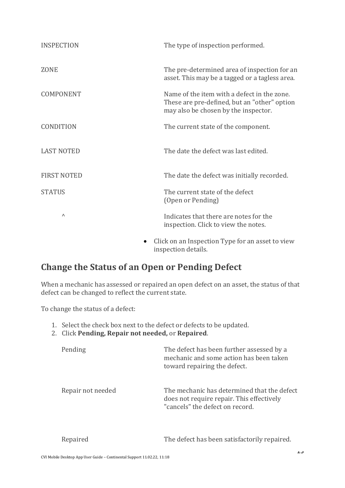| <b>INSPECTION</b>  | The type of inspection performed.                                                                                                   |
|--------------------|-------------------------------------------------------------------------------------------------------------------------------------|
| <b>ZONE</b>        | The pre-determined area of inspection for an<br>asset. This may be a tagged or a tagless area.                                      |
| <b>COMPONENT</b>   | Name of the item with a defect in the zone.<br>These are pre-defined, but an "other" option<br>may also be chosen by the inspector. |
| <b>CONDITION</b>   | The current state of the component.                                                                                                 |
| <b>LAST NOTED</b>  | The date the defect was last edited.                                                                                                |
| <b>FIRST NOTED</b> | The date the defect was initially recorded.                                                                                         |
| <b>STATUS</b>      | The current state of the defect<br>(Open or Pending)                                                                                |
| Λ                  | Indicates that there are notes for the<br>inspection. Click to view the notes.                                                      |
|                    | Click on an Inspection Type for an asset to view                                                                                    |

inspection details.

## **Change the Status of an Open or Pending Defect**

When a mechanic has assessed or repaired an open defect on an asset, the status of that defect can be changed to reflect the current state.

To change the status of a defect:

- 1. Select the check box next to the defect or defects to be updated.
- 2. Click **Pending, Repair not needed,** or **Repaired**.

| Pending           | The defect has been further assessed by a<br>mechanic and some action has been taken<br>toward repairing the defect.        |
|-------------------|-----------------------------------------------------------------------------------------------------------------------------|
| Repair not needed | The mechanic has determined that the defect<br>does not require repair. This effectively<br>"cancels" the defect on record. |

Repaired The defect has been satisfactorily repaired.

| CVI Mobile Desktop App User Guide – Continental Support 11.02.22, 11:18 |  |
|-------------------------------------------------------------------------|--|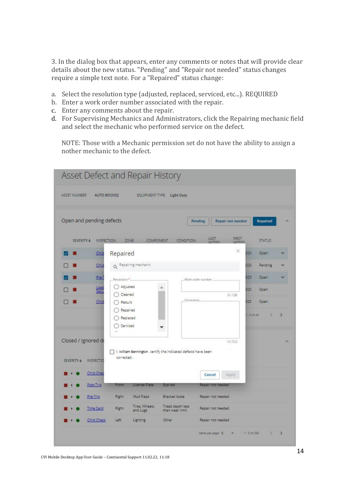3. In the dialog box that appears, enter any comments or notes that will provide clear details about the new status. "Pending" and "Repair not needed" status changes require a simple text note. For a "Repaired" status change:

- a. Select the resolution type (adjusted, replaced, serviced, etc...). REQUIRED
- b. Enter a work order number associated with the repair.
- c. Enter any comments about the repair.
- d. For Supervising Mechanics and Administrators, click the Repairing mechanic field and select the mechanic who performed service on the defect.

NOTE: Those with a Mechanic permission set do not have the ability to assign a nother mechanic to the defect.

| Asset Defect and Repair History                                                                                       |                                     |                                         |                                 |               |
|-----------------------------------------------------------------------------------------------------------------------|-------------------------------------|-----------------------------------------|---------------------------------|---------------|
| ASSET NUMBER<br>AUTO 8013102                                                                                          | EQUIPMENT TYPE Light Duty           |                                         |                                 |               |
| Open and pending defects                                                                                              |                                     | Repair not needed<br>Pending            | Repaired                        |               |
| ZONE<br>SEVERITY &<br><b>INSPECTION</b><br>COMPONENT                                                                  | CONDITION                           | LAST.<br>FIRST<br>NOTED<br><b>NOTES</b> | <b>STATUS</b>                   |               |
| Repaired<br>Chile                                                                                                     |                                     | ×                                       | 020<br>Open                     |               |
| Q Repairing mechanic<br>Child                                                                                         |                                     |                                         | 020<br>Pending                  |               |
| Pre-1<br>Resolution*                                                                                                  |                                     | Work order number                       | 020<br>Open                     |               |
| Adjusted<br>Load<br>Secu                                                                                              |                                     |                                         | 020<br>Open                     |               |
| Cleaned<br>Child<br>Rebuilt                                                                                           | Comments                            | 0/128                                   | 020<br>Open.                    |               |
| Repaired<br>Replaced<br>Serviced                                                                                      |                                     |                                         | $-5$ of 49<br>$\langle \rangle$ |               |
| Closed / Ignored de                                                                                                   |                                     | 0/512                                   |                                 |               |
| I, William Bennington, certify the indicated defects have been<br>corrected.<br><b>SEVERITY +</b><br><b>INSPECTIO</b> |                                     |                                         |                                 |               |
| Child Chec                                                                                                            |                                     | Cancel<br>Apply                         |                                 |               |
| Post-Trip<br>Front<br>License Plate                                                                                   | Expired                             | Repair not needed                       |                                 |               |
| Mud Flaps<br>Pre-Trip<br>Right                                                                                        | Bracket loose                       | Repair not needed                       |                                 |               |
| Tires, Wheels,<br><b>Right</b><br><b>Time Card</b><br>and Lugs                                                        | Tread depth less<br>than wear limit | Repair not needed                       |                                 |               |
| Child Check<br>Left<br>Lighting                                                                                       | Other                               | Repair not needed                       |                                 |               |
|                                                                                                                       |                                     | hems per page: 5                        | 1 - 5 of 258<br>c               | $\rightarrow$ |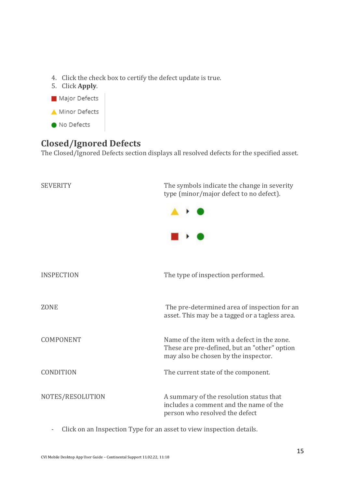- 4. Click the check box to certify the defect update is true.
- 5. Click **Apply**.
- Major Defects
- Minor Defects
- No Defects

### **Closed/Ignored Defects**

The Closed/Ignored Defects section displays all resolved defects for the specified asset.

| <b>SEVERITY</b>   | The symbols indicate the change in severity<br>type (minor/major defect to no defect).                                              |
|-------------------|-------------------------------------------------------------------------------------------------------------------------------------|
| <b>INSPECTION</b> | The type of inspection performed.                                                                                                   |
| <b>ZONE</b>       | The pre-determined area of inspection for an<br>asset. This may be a tagged or a tagless area.                                      |
| <b>COMPONENT</b>  | Name of the item with a defect in the zone.<br>These are pre-defined, but an "other" option<br>may also be chosen by the inspector. |
| <b>CONDITION</b>  | The current state of the component.                                                                                                 |
| NOTES/RESOLUTION  | A summary of the resolution status that<br>includes a comment and the name of the<br>person who resolved the defect                 |

- Click on an Inspection Type for an asset to view inspection details.